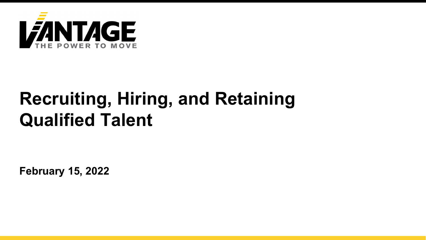

## **Recruiting, Hiring, and Retaining Qualified Talent**

**February 15, 2022**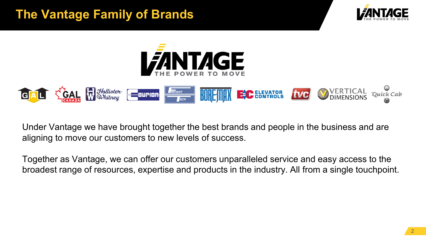#### **The Vantage Family of Brands**







Under Vantage we have brought together the best brands and people in the business and are aligning to move our customers to new levels of success.

Together as Vantage, we can offer our customers unparalleled service and easy access to the broadest range of resources, expertise and products in the industry. All from a single touchpoint.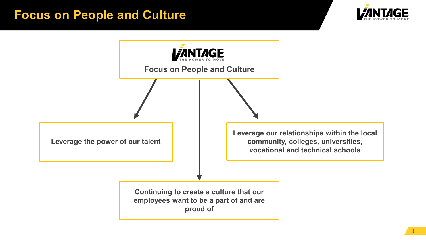#### **Focus on People and Culture**



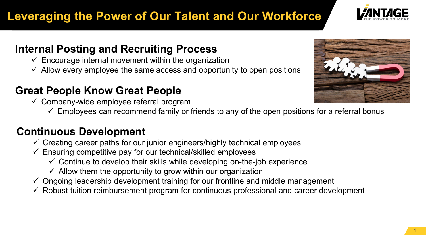## **Leveraging the Power of Our Talent and Our Workforce**

#### **Internal Posting and Recruiting Process**

- $\checkmark$  Encourage internal movement within the organization
- $\checkmark$  Allow every employee the same access and opportunity to open positions

#### **Great People Know Great People**

- $\checkmark$  Company-wide employee referral program
	- $\checkmark$  Employees can recommend family or friends to any of the open positions for a referral bonus

#### **Continuous Development**

- $\checkmark$  Creating career paths for our junior engineers/highly technical employees
- $\checkmark$  Ensuring competitive pay for our technical/skilled employees
	- $\checkmark$  Continue to develop their skills while developing on-the-job experience
	- $\checkmark$  Allow them the opportunity to grow within our organization
- $\checkmark$  Ongoing leadership development training for our frontline and middle management
- $\checkmark$  Robust tuition reimbursement program for continuous professional and career development



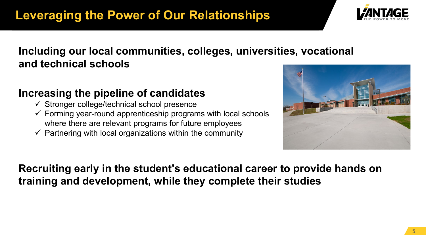

#### **Including our local communities, colleges, universities, vocational and technical schools**

#### **Increasing the pipeline of candidates**

- $\checkmark$  Stronger college/technical school presence
- $\checkmark$  Forming year-round apprenticeship programs with local schools where there are relevant programs for future employees
- $\checkmark$  Partnering with local organizations within the community



**Recruiting early in the student's educational career to provide hands on training and development, while they complete their studies**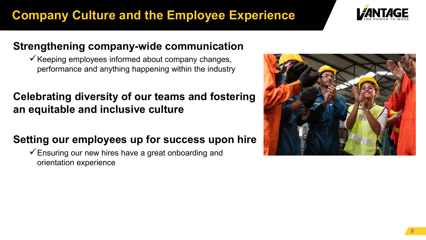### **Company Culture and the Employee Experience**



#### **Strengthening company-wide communication**

 $\checkmark$  Keeping employees informed about company changes, performance and anything happening within the industry

#### **Celebrating diversity of our teams and fostering an equitable and inclusive culture**

#### **Setting our employees up for success upon hire**

 $\checkmark$  Ensuring our new hires have a great onboarding and orientation experience